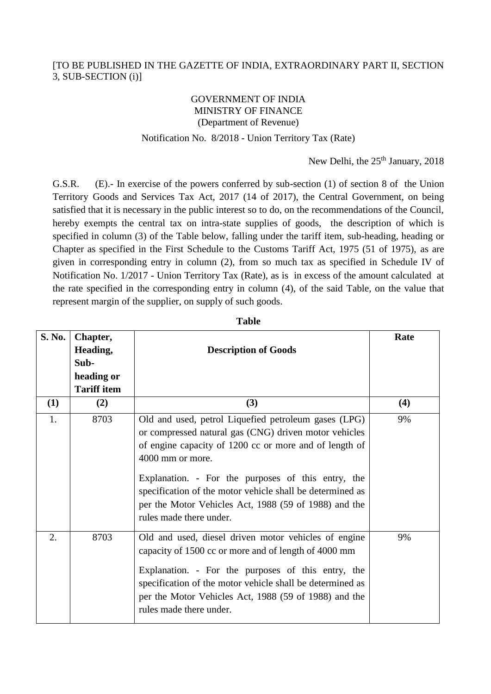## [TO BE PUBLISHED IN THE GAZETTE OF INDIA, EXTRAORDINARY PART II, SECTION 3, SUB-SECTION (i)]

## GOVERNMENT OF INDIA MINISTRY OF FINANCE (Department of Revenue)

## Notification No. 8/2018 - Union Territory Tax (Rate)

New Delhi, the 25<sup>th</sup> January, 2018

G.S.R. (E).- In exercise of the powers conferred by sub-section (1) of section 8 of the Union Territory Goods and Services Tax Act, 2017 (14 of 2017), the Central Government, on being satisfied that it is necessary in the public interest so to do, on the recommendations of the Council, hereby exempts the central tax on intra-state supplies of goods, the description of which is specified in column (3) of the Table below, falling under the tariff item, sub-heading, heading or Chapter as specified in the First Schedule to the Customs Tariff Act, 1975 (51 of 1975), as are given in corresponding entry in column (2), from so much tax as specified in Schedule IV of Notification No. 1/2017 - Union Territory Tax (Rate), as is in excess of the amount calculated at the rate specified in the corresponding entry in column (4), of the said Table, on the value that represent margin of the supplier, on supply of such goods.

| S. No. | Chapter,<br>Heading,<br>Sub-<br>heading or<br><b>Tariff item</b> | <b>Description of Goods</b>                                                                                                                                                                                                                                                                                                                                                                        | Rate |
|--------|------------------------------------------------------------------|----------------------------------------------------------------------------------------------------------------------------------------------------------------------------------------------------------------------------------------------------------------------------------------------------------------------------------------------------------------------------------------------------|------|
| (1)    | (2)                                                              | (3)                                                                                                                                                                                                                                                                                                                                                                                                | (4)  |
| 1.     | 8703                                                             | Old and used, petrol Liquefied petroleum gases (LPG)<br>or compressed natural gas (CNG) driven motor vehicles<br>of engine capacity of 1200 cc or more and of length of<br>4000 mm or more.<br>Explanation. - For the purposes of this entry, the<br>specification of the motor vehicle shall be determined as<br>per the Motor Vehicles Act, 1988 (59 of 1988) and the<br>rules made there under. | 9%   |
| 2.     | 8703                                                             | Old and used, diesel driven motor vehicles of engine<br>capacity of 1500 cc or more and of length of 4000 mm<br>Explanation. - For the purposes of this entry, the<br>specification of the motor vehicle shall be determined as<br>per the Motor Vehicles Act, 1988 (59 of 1988) and the<br>rules made there under.                                                                                | 9%   |

**Table**